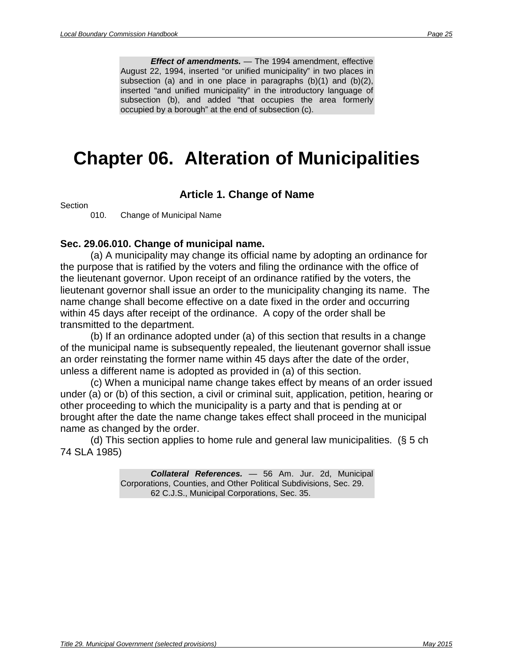unification. (§ 4 ch 74 SLA 1985; am § 12 ch 58 SLA 1994; am § 1, 2 ch 53 SLA 2002)

> *Effect of amendments.* — The 2002 amendment, effective September 17, 2002, added the exception language at the beginning of subsection (c) and added subsection (d).

> The 1994 amendment, effective August 22, 1994, inserted "or unified municipality" in the introductory language of subsection (a) and in the first sentence of subsection (b); substituted "municipality's" for "borough's" in paragraphs (a)(1)-(a)(3) and in the second and third sentences of subsection (b); substituted "the election favoring incorporation" for "the incorporation election favoring incorporation of a borough" in the first sentence in subsection (b); and, in subsection (c), added "that occupies the area formerly occupied by a borough" to the end.

## **Sec. 29.05.200. Organization grant fund**

(a) The organization grant program is established in the department. An appropriation made to the program shall be used for organization grants to municipalities that qualify under AS 29.05.180 or 29.05.190.

(b) Before August 31 of each fiscal year, the department shall submit a report to the office of management and budget indicating

(1) each municipality expected to qualify to receive an organization grant during the next fiscal year;

(2) the amount of money needed to cover all organization grants expected to be awarded during the next fiscal year. (§ 4 ch 74 SLA 1985; am § 1 ch 43 SLA 1997; am § 22 ch 12 SLA 2006)

> **Effect of Amendments.** The 2006 amendment, effective April 4, 2006, substituted "office of management and budget" for "Department of Administration" in the introductory language of subsection (b).

> The 1997 amendment, effective July 1, 1997, substituted "program" for "fund" in two places in subsection (a).

## **Sec. 29.05.210. Transitional assistance to boroughs and unified municipalities**

(a) Within 30 days after the date of incorporation of a borough or unified municipality incorporated after December 31, 1985, the department shall determine the population of the borough or unified municipality.

(b) The department shall provide assistance to each borough and unified municipality incorporated after December 31, 1985, in

 (1) establishing the initial sales and use tax assessment and collection department if the borough or unified municipality has adopted a sales or use tax;

 (2) determining the initial property tax assessment roll if the borough or unified municipality has adopted a property tax, including contracting for appraisals of property needed to complete the initial assessment.

(c) This section does not apply to a borough incorporated by consolidation or to a unified municipality that occupies the area formerly occupied by a borough. (§ 4 ch 74 SLA 1985; am § 13 ch 58 SLA 1994)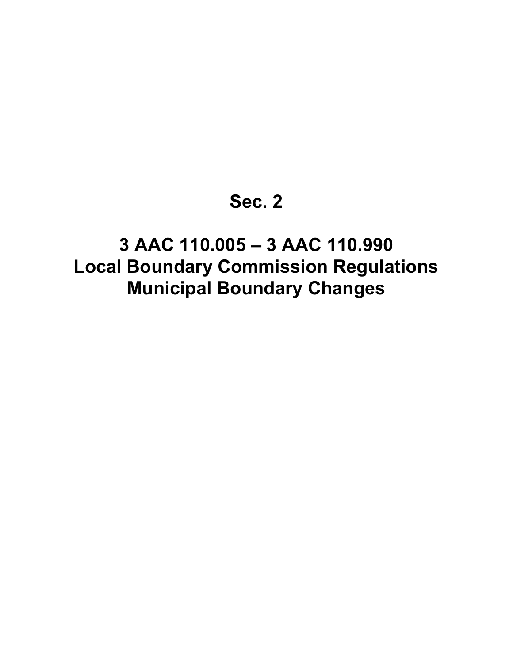*Effect of amendments.* — The 1994 amendment, effective August 22, 1994, inserted "or unified municipality" in two places in subsection (a) and in one place in paragraphs (b)(1) and (b)(2), inserted "and unified municipality" in the introductory language of subsection (b), and added "that occupies the area formerly occupied by a borough" at the end of subsection (c).

# **Chapter 06. Alteration of Municipalities**

## **Article 1. Change of Name**

**Section** 

010. Change of Municipal Name

#### **Sec. 29.06.010. Change of municipal name.**

(a) A municipality may change its official name by adopting an ordinance for the purpose that is ratified by the voters and filing the ordinance with the office of the lieutenant governor. Upon receipt of an ordinance ratified by the voters, the lieutenant governor shall issue an order to the municipality changing its name. The name change shall become effective on a date fixed in the order and occurring within 45 days after receipt of the ordinance. A copy of the order shall be transmitted to the department.

(b) If an ordinance adopted under (a) of this section that results in a change of the municipal name is subsequently repealed, the lieutenant governor shall issue an order reinstating the former name within 45 days after the date of the order, unless a different name is adopted as provided in (a) of this section.

(c) When a municipal name change takes effect by means of an order issued under (a) or (b) of this section, a civil or criminal suit, application, petition, hearing or other proceeding to which the municipality is a party and that is pending at or brought after the date the name change takes effect shall proceed in the municipal name as changed by the order.

(d) This section applies to home rule and general law municipalities. (§ 5 ch 74 SLA 1985)

> *Collateral References.* — 56 Am. Jur. 2d, Municipal Corporations, Counties, and Other Political Subdivisions, Sec. 29. 62 C.J.S., Municipal Corporations, Sec. 35.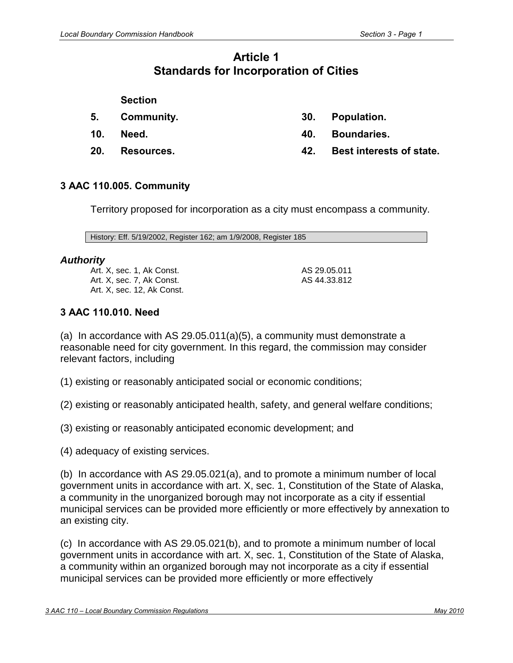| 3 AAC 110.981. Determination of maximum local self-government 52 |  |
|------------------------------------------------------------------|--|
|                                                                  |  |
|                                                                  |  |
|                                                                  |  |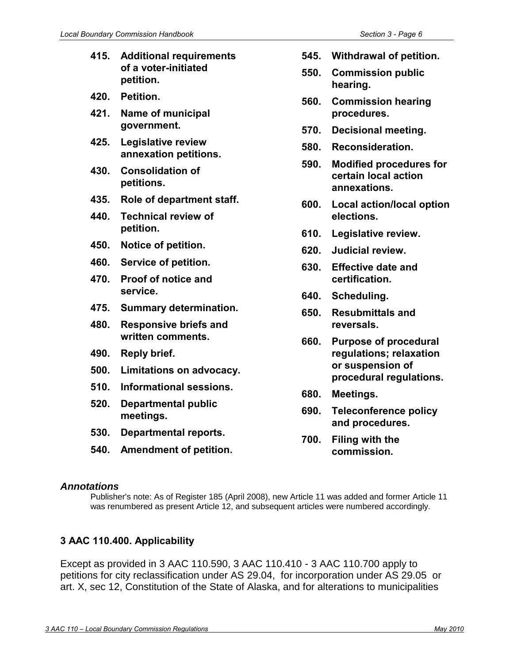The commission will consider that petition for incorporation as also being a petition to alter the boundaries of the existing borough or city.

History: Eff. 7/3/92, Register 123; am 5/19/2002, Register 162; am 1/9/2008, Register 185

#### *Authority:*

Art. X, sec. 1, Ak Const. Art. X, sec. 3, Ak Const. Art. X, sec. 7, Ak Const. Art. X, sec. 12, Ak Const. AS 29.05.011 AS 44.33.812

# **3 AAC 110.042. Best interests of state**

In determining whether incorporation of a city is in the best interests of the state under AS 29.05.100(a), the commission may consider relevant factors, including whether incorporation

(1) promotes maximum local self-government, as determined under 3 AAC 110.981;

(2) promotes a minimum number of local government units, as determined under 3 AAC 110.982 and in accordance with art. X, sec. 1, Constitution of the State of Alaska;

(3) will relieve the state government of the responsibility of providing local services; and

(4) is reasonably likely to expose the state government to unusual and substantial risks as the prospective successor to the city in the event of the city's dissolution.

History: Eff. 5/19/2002, Register 162; am 1/9/2008, Register 185

## *Authority*

Art. X, sec. 1, Ak Const. Art. X, sec. 7, Ak Const. Art. X, sec. 12, Ak Const. AS 29.05.100 AS 44.33.812

**Article 13 Procedures for Petitioning and for Other Commission Matters** 

**Section**

**400. Applicability. 410. Petitioners.**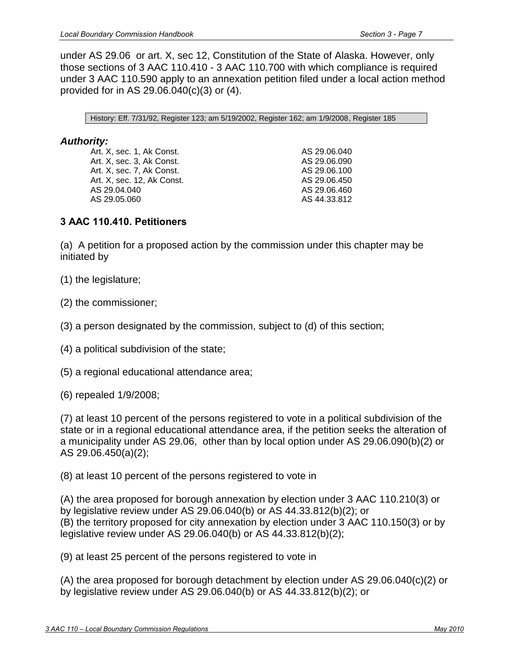- **415. Additional requirements of a voter-initiated petition. 420. Petition. 421. Name of municipal government. 425. Legislative review annexation petitions. 430. Consolidation of petitions. 435. Role of department staff. 440. Technical review of petition. 450. Notice of petition. 460. Service of petition. 470. Proof of notice and service. 475. Summary determination. 480. Responsive briefs and written comments. 490. Reply brief. 500. Limitations on advocacy. 510. Informational sessions. 520. Departmental public meetings.** 
	- **530. Departmental reports.**
	- **540. Amendment of petition.**
- **545. Withdrawal of petition.**
- **550. Commission public hearing.**
- **560. Commission hearing procedures.**
- **570. Decisional meeting.**
- **580. Reconsideration.**
- **590. Modified procedures for certain local action annexations.**
- **600. Local action/local option elections.**
- **610. Legislative review.**
- **620. Judicial review.**
- **630. Effective date and certification.**
- **640. Scheduling.**
- **650. Resubmittals and reversals.**
- **660. Purpose of procedural regulations; relaxation or suspension of procedural regulations.**
- **680. Meetings.**
- **690. Teleconference policy and procedures.**
- **700. Filing with the commission.**

#### *Annotations*

Publisher's note: As of Register 185 (April 2008), new Article 11 was added and former Article 11 was renumbered as present Article 12, and subsequent articles were numbered accordingly.

# **3 AAC 110.400. Applicability**

Except as provided in 3 AAC 110.590, 3 AAC 110.410 - 3 AAC 110.700 apply to petitions for city reclassification under AS 29.04, for incorporation under AS 29.05 or art. X, sec 12, Constitution of the State of Alaska, and for alterations to municipalities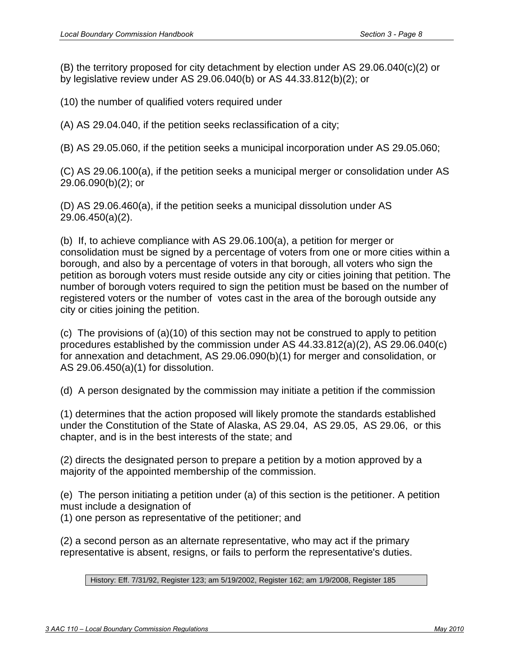under AS 29.06 or art. X, sec 12, Constitution of the State of Alaska. However, only those sections of 3 AAC 110.410 - 3 AAC 110.700 with which compliance is required under 3 AAC 110.590 apply to an annexation petition filed under a local action method provided for in AS 29.06.040(c)(3) or (4).

History: Eff. 7/31/92, Register 123; am 5/19/2002, Register 162; am 1/9/2008, Register 185

## *Authority:*

Art. X, sec. 1, Ak Const. Art. X, sec. 3, Ak Const. Art. X, sec. 7, Ak Const. Art. X, sec. 12, Ak Const. AS 29.04.040 AS 29.05.060

AS 29.06.040 AS 29.06.090 AS 29.06.100 AS 29.06.450 AS 29.06.460 AS 44.33.812

## **3 AAC 110.410. Petitioners**

(a) A petition for a proposed action by the commission under this chapter may be initiated by

- (1) the legislature;
- (2) the commissioner;
- (3) a person designated by the commission, subject to (d) of this section;
- (4) a political subdivision of the state;
- (5) a regional educational attendance area;
- (6) repealed 1/9/2008;

(7) at least 10 percent of the persons registered to vote in a political subdivision of the state or in a regional educational attendance area, if the petition seeks the alteration of a municipality under AS 29.06, other than by local option under AS 29.06.090(b)(2) or AS 29.06.450(a)(2);

(8) at least 10 percent of the persons registered to vote in

(A) the area proposed for borough annexation by election under 3 AAC 110.210(3) or by legislative review under AS 29.06.040(b) or AS 44.33.812(b)(2); or (B) the territory proposed for city annexation by election under 3 AAC 110.150(3) or by legislative review under AS 29.06.040(b) or AS 44.33.812(b)(2);

(9) at least 25 percent of the persons registered to vote in

(A) the area proposed for borough detachment by election under AS 29.06.040(c)(2) or by legislative review under AS 29.06.040(b) or AS 44.33.812(b)(2); or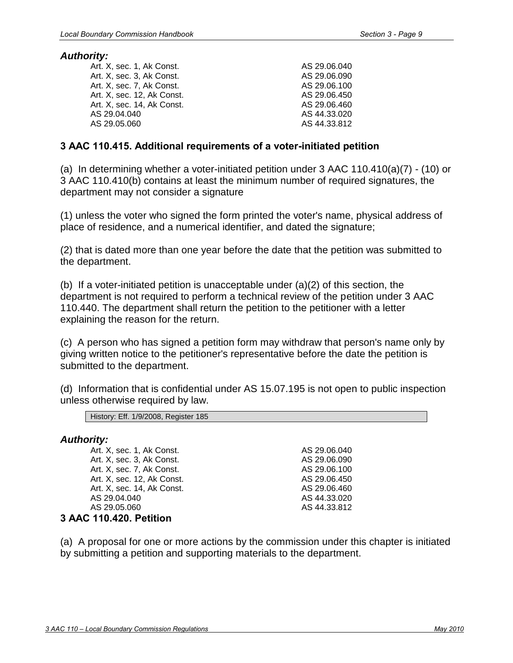(B) the territory proposed for city detachment by election under AS 29.06.040(c)(2) or by legislative review under AS 29.06.040(b) or AS 44.33.812(b)(2); or

(10) the number of qualified voters required under

(A) AS 29.04.040, if the petition seeks reclassification of a city;

(B) AS 29.05.060, if the petition seeks a municipal incorporation under AS 29.05.060;

(C) AS 29.06.100(a), if the petition seeks a municipal merger or consolidation under AS 29.06.090(b)(2); or

(D) AS 29.06.460(a), if the petition seeks a municipal dissolution under AS 29.06.450(a)(2).

(b) If, to achieve compliance with AS 29.06.100(a), a petition for merger or consolidation must be signed by a percentage of voters from one or more cities within a borough, and also by a percentage of voters in that borough, all voters who sign the petition as borough voters must reside outside any city or cities joining that petition. The number of borough voters required to sign the petition must be based on the number of registered voters or the number of votes cast in the area of the borough outside any city or cities joining the petition.

(c) The provisions of  $(a)(10)$  of this section may not be construed to apply to petition procedures established by the commission under AS 44.33.812(a)(2), AS 29.06.040(c) for annexation and detachment, AS 29.06.090(b)(1) for merger and consolidation, or AS 29.06.450(a)(1) for dissolution.

(d) A person designated by the commission may initiate a petition if the commission

(1) determines that the action proposed will likely promote the standards established under the Constitution of the State of Alaska, AS 29.04, AS 29.05, AS 29.06, or this chapter, and is in the best interests of the state; and

(2) directs the designated person to prepare a petition by a motion approved by a majority of the appointed membership of the commission.

(e) The person initiating a petition under (a) of this section is the petitioner. A petition must include a designation of

(1) one person as representative of the petitioner; and

(2) a second person as an alternate representative, who may act if the primary representative is absent, resigns, or fails to perform the representative's duties.

History: Eff. 7/31/92, Register 123; am 5/19/2002, Register 162; am 1/9/2008, Register 185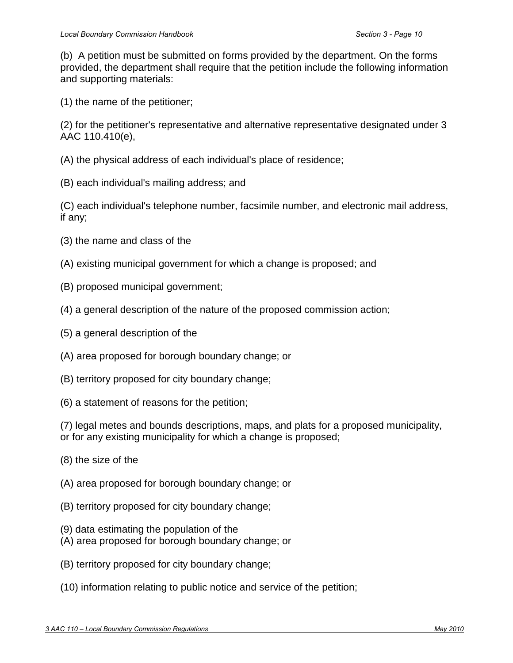#### *Authority:*

| Art. X, sec. 1, Ak Const.  | AS 29.06.040 |
|----------------------------|--------------|
| Art. X, sec. 3, Ak Const.  | AS 29.06.090 |
| Art. X, sec. 7, Ak Const.  | AS 29.06.100 |
| Art. X, sec. 12, Ak Const. | AS 29.06.450 |
| Art. X, sec. 14, Ak Const. | AS 29.06.460 |
| AS 29.04.040               | AS 44.33.020 |
| AS 29.05.060               | AS 44.33.812 |
|                            |              |

#### **3 AAC 110.415. Additional requirements of a voter-initiated petition**

(a) In determining whether a voter-initiated petition under 3 AAC 110.410(a)(7) - (10) or 3 AAC 110.410(b) contains at least the minimum number of required signatures, the department may not consider a signature

(1) unless the voter who signed the form printed the voter's name, physical address of place of residence, and a numerical identifier, and dated the signature;

(2) that is dated more than one year before the date that the petition was submitted to the department.

(b) If a voter-initiated petition is unacceptable under (a)(2) of this section, the department is not required to perform a technical review of the petition under 3 AAC 110.440. The department shall return the petition to the petitioner with a letter explaining the reason for the return.

(c) A person who has signed a petition form may withdraw that person's name only by giving written notice to the petitioner's representative before the date the petition is submitted to the department.

(d) Information that is confidential under AS 15.07.195 is not open to public inspection unless otherwise required by law.

> AS 29.06.040 AS 29.06.090 AS 29.06.100 AS 29.06.450 AS 29.06.460 AS 44.33.020 AS 44.33.812

History: Eff. 1/9/2008, Register 185

#### *Authority:*

Art. X, sec. 1, Ak Const. Art. X, sec. 3, Ak Const. Art. X, sec. 7, Ak Const. Art. X, sec. 12, Ak Const. Art. X, sec. 14, Ak Const. AS 29.04.040 AS 29.05.060 **3 AAC 110.420. Petition** 

(a) A proposal for one or more actions by the commission under this chapter is initiated by submitting a petition and supporting materials to the department.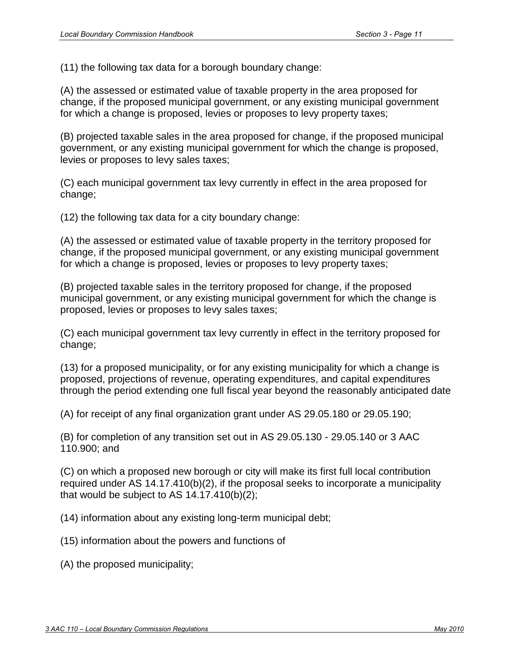(b) A petition must be submitted on forms provided by the department. On the forms provided, the department shall require that the petition include the following information and supporting materials:

(1) the name of the petitioner;

(2) for the petitioner's representative and alternative representative designated under 3 AAC 110.410(e),

- (A) the physical address of each individual's place of residence;
- (B) each individual's mailing address; and

(C) each individual's telephone number, facsimile number, and electronic mail address, if any;

- (3) the name and class of the
- (A) existing municipal government for which a change is proposed; and
- (B) proposed municipal government;
- (4) a general description of the nature of the proposed commission action;
- (5) a general description of the
- (A) area proposed for borough boundary change; or
- (B) territory proposed for city boundary change;
- (6) a statement of reasons for the petition;

(7) legal metes and bounds descriptions, maps, and plats for a proposed municipality, or for any existing municipality for which a change is proposed;

- (8) the size of the
- (A) area proposed for borough boundary change; or
- (B) territory proposed for city boundary change;
- (9) data estimating the population of the
- (A) area proposed for borough boundary change; or
- (B) territory proposed for city boundary change;
- (10) information relating to public notice and service of the petition;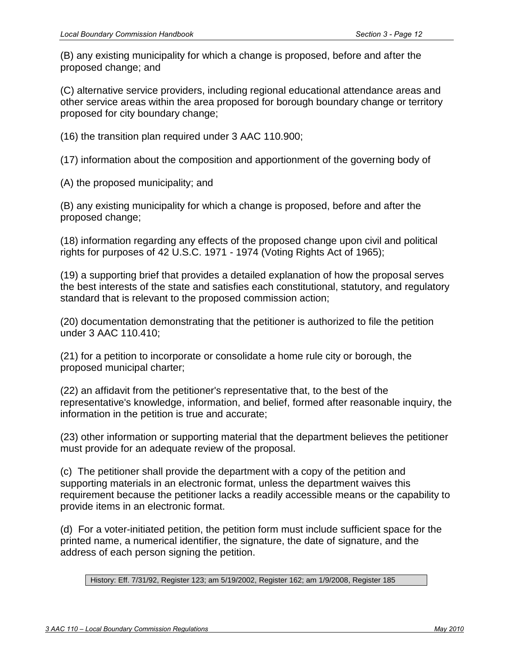(11) the following tax data for a borough boundary change:

(A) the assessed or estimated value of taxable property in the area proposed for change, if the proposed municipal government, or any existing municipal government for which a change is proposed, levies or proposes to levy property taxes;

(B) projected taxable sales in the area proposed for change, if the proposed municipal government, or any existing municipal government for which the change is proposed, levies or proposes to levy sales taxes;

(C) each municipal government tax levy currently in effect in the area proposed for change;

(12) the following tax data for a city boundary change:

(A) the assessed or estimated value of taxable property in the territory proposed for change, if the proposed municipal government, or any existing municipal government for which a change is proposed, levies or proposes to levy property taxes;

(B) projected taxable sales in the territory proposed for change, if the proposed municipal government, or any existing municipal government for which the change is proposed, levies or proposes to levy sales taxes;

(C) each municipal government tax levy currently in effect in the territory proposed for change;

(13) for a proposed municipality, or for any existing municipality for which a change is proposed, projections of revenue, operating expenditures, and capital expenditures through the period extending one full fiscal year beyond the reasonably anticipated date

(A) for receipt of any final organization grant under AS 29.05.180 or 29.05.190;

(B) for completion of any transition set out in AS 29.05.130 - 29.05.140 or 3 AAC 110.900; and

(C) on which a proposed new borough or city will make its first full local contribution required under AS 14.17.410(b)(2), if the proposal seeks to incorporate a municipality that would be subject to AS  $14.17.410(b)(2)$ ;

(14) information about any existing long-term municipal debt;

(15) information about the powers and functions of

(A) the proposed municipality;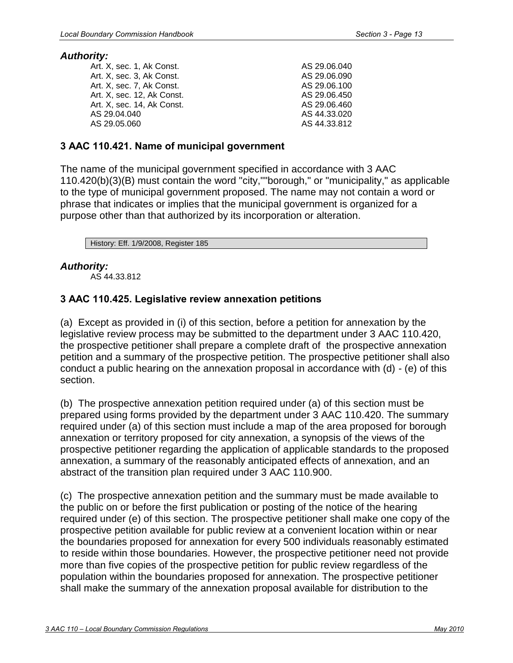(B) any existing municipality for which a change is proposed, before and after the proposed change; and

(C) alternative service providers, including regional educational attendance areas and other service areas within the area proposed for borough boundary change or territory proposed for city boundary change;

(16) the transition plan required under 3 AAC 110.900;

(17) information about the composition and apportionment of the governing body of

(A) the proposed municipality; and

(B) any existing municipality for which a change is proposed, before and after the proposed change;

(18) information regarding any effects of the proposed change upon civil and political rights for purposes of 42 U.S.C. 1971 - 1974 (Voting Rights Act of 1965);

(19) a supporting brief that provides a detailed explanation of how the proposal serves the best interests of the state and satisfies each constitutional, statutory, and regulatory standard that is relevant to the proposed commission action;

(20) documentation demonstrating that the petitioner is authorized to file the petition under 3 AAC 110.410;

(21) for a petition to incorporate or consolidate a home rule city or borough, the proposed municipal charter;

(22) an affidavit from the petitioner's representative that, to the best of the representative's knowledge, information, and belief, formed after reasonable inquiry, the information in the petition is true and accurate;

(23) other information or supporting material that the department believes the petitioner must provide for an adequate review of the proposal.

(c) The petitioner shall provide the department with a copy of the petition and supporting materials in an electronic format, unless the department waives this requirement because the petitioner lacks a readily accessible means or the capability to provide items in an electronic format.

(d) For a voter-initiated petition, the petition form must include sufficient space for the printed name, a numerical identifier, the signature, the date of signature, and the address of each person signing the petition.

History: Eff. 7/31/92, Register 123; am 5/19/2002, Register 162; am 1/9/2008, Register 185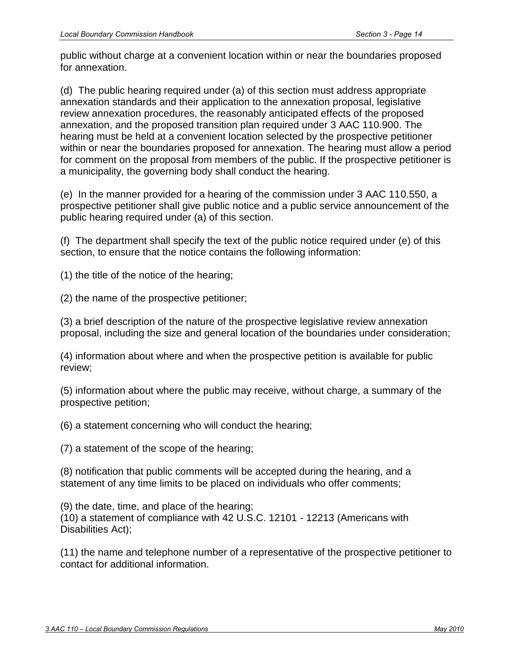#### *Authority:*

| Art. X. sec. 1. Ak Const.  | AS 29.06.040 |
|----------------------------|--------------|
| Art. X, sec. 3, Ak Const.  | AS 29.06.090 |
| Art. X, sec. 7, Ak Const.  | AS 29.06.100 |
| Art. X, sec. 12, Ak Const. | AS 29.06.450 |
| Art. X, sec. 14, Ak Const. | AS 29.06.460 |
| AS 29.04.040               | AS 44.33.020 |
| AS 29.05.060               | AS 44.33.812 |
|                            |              |

## **3 AAC 110.421. Name of municipal government**

The name of the municipal government specified in accordance with 3 AAC 110.420(b)(3)(B) must contain the word "city,""borough," or "municipality," as applicable to the type of municipal government proposed. The name may not contain a word or phrase that indicates or implies that the municipal government is organized for a purpose other than that authorized by its incorporation or alteration.

History: Eff. 1/9/2008, Register 185

# *Authority:*

AS 44.33.812

# **3 AAC 110.425. Legislative review annexation petitions**

(a) Except as provided in (i) of this section, before a petition for annexation by the legislative review process may be submitted to the department under 3 AAC 110.420, the prospective petitioner shall prepare a complete draft of the prospective annexation petition and a summary of the prospective petition. The prospective petitioner shall also conduct a public hearing on the annexation proposal in accordance with (d) - (e) of this section.

(b) The prospective annexation petition required under (a) of this section must be prepared using forms provided by the department under 3 AAC 110.420. The summary required under (a) of this section must include a map of the area proposed for borough annexation or territory proposed for city annexation, a synopsis of the views of the prospective petitioner regarding the application of applicable standards to the proposed annexation, a summary of the reasonably anticipated effects of annexation, and an abstract of the transition plan required under 3 AAC 110.900.

(c) The prospective annexation petition and the summary must be made available to the public on or before the first publication or posting of the notice of the hearing required under (e) of this section. The prospective petitioner shall make one copy of the prospective petition available for public review at a convenient location within or near the boundaries proposed for annexation for every 500 individuals reasonably estimated to reside within those boundaries. However, the prospective petitioner need not provide more than five copies of the prospective petition for public review regardless of the population within the boundaries proposed for annexation. The prospective petitioner shall make the summary of the annexation proposal available for distribution to the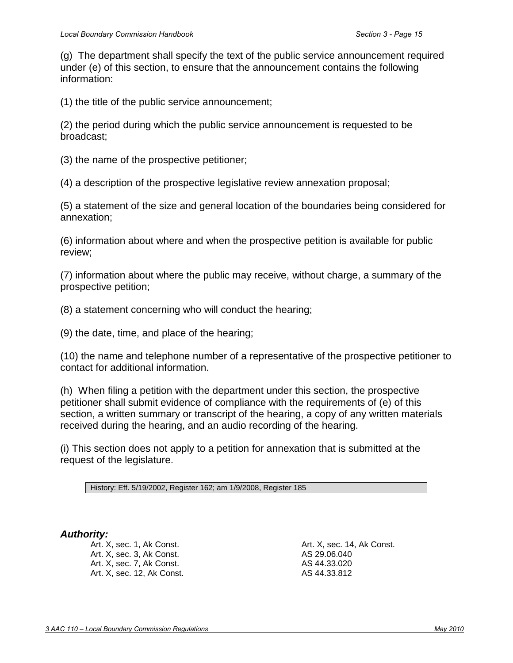public without charge at a convenient location within or near the boundaries proposed for annexation.

(d) The public hearing required under (a) of this section must address appropriate annexation standards and their application to the annexation proposal, legislative review annexation procedures, the reasonably anticipated effects of the proposed annexation, and the proposed transition plan required under 3 AAC 110.900. The hearing must be held at a convenient location selected by the prospective petitioner within or near the boundaries proposed for annexation. The hearing must allow a period for comment on the proposal from members of the public. If the prospective petitioner is a municipality, the governing body shall conduct the hearing.

(e) In the manner provided for a hearing of the commission under 3 AAC 110.550, a prospective petitioner shall give public notice and a public service announcement of the public hearing required under (a) of this section.

(f) The department shall specify the text of the public notice required under (e) of this section, to ensure that the notice contains the following information:

(1) the title of the notice of the hearing;

(2) the name of the prospective petitioner;

(3) a brief description of the nature of the prospective legislative review annexation proposal, including the size and general location of the boundaries under consideration;

(4) information about where and when the prospective petition is available for public review;

(5) information about where the public may receive, without charge, a summary of the prospective petition;

(6) a statement concerning who will conduct the hearing;

(7) a statement of the scope of the hearing;

(8) notification that public comments will be accepted during the hearing, and a statement of any time limits to be placed on individuals who offer comments;

(9) the date, time, and place of the hearing; (10) a statement of compliance with 42 U.S.C. 12101 - 12213 (Americans with Disabilities Act);

(11) the name and telephone number of a representative of the prospective petitioner to contact for additional information.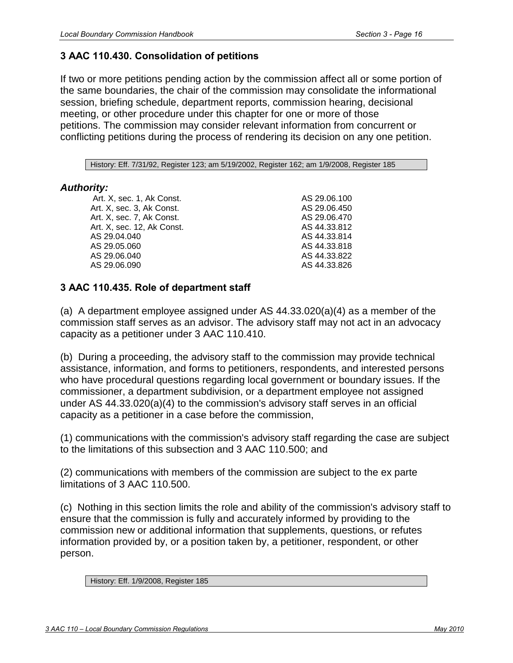(g) The department shall specify the text of the public service announcement required under (e) of this section, to ensure that the announcement contains the following information:

(1) the title of the public service announcement;

(2) the period during which the public service announcement is requested to be broadcast;

(3) the name of the prospective petitioner;

(4) a description of the prospective legislative review annexation proposal;

(5) a statement of the size and general location of the boundaries being considered for annexation;

(6) information about where and when the prospective petition is available for public review;

(7) information about where the public may receive, without charge, a summary of the prospective petition;

(8) a statement concerning who will conduct the hearing;

(9) the date, time, and place of the hearing;

(10) the name and telephone number of a representative of the prospective petitioner to contact for additional information.

(h) When filing a petition with the department under this section, the prospective petitioner shall submit evidence of compliance with the requirements of (e) of this section, a written summary or transcript of the hearing, a copy of any written materials received during the hearing, and an audio recording of the hearing.

(i) This section does not apply to a petition for annexation that is submitted at the request of the legislature.

History: Eff. 5/19/2002, Register 162; am 1/9/2008, Register 185

## *Authority:*

Art. X, sec. 1, Ak Const. Art. X, sec. 3, Ak Const. Art. X, sec. 7, Ak Const. Art. X, sec. 12, Ak Const. Art. X, sec. 14, Ak Const. AS 29.06.040 AS 44.33.020 AS 44.33.812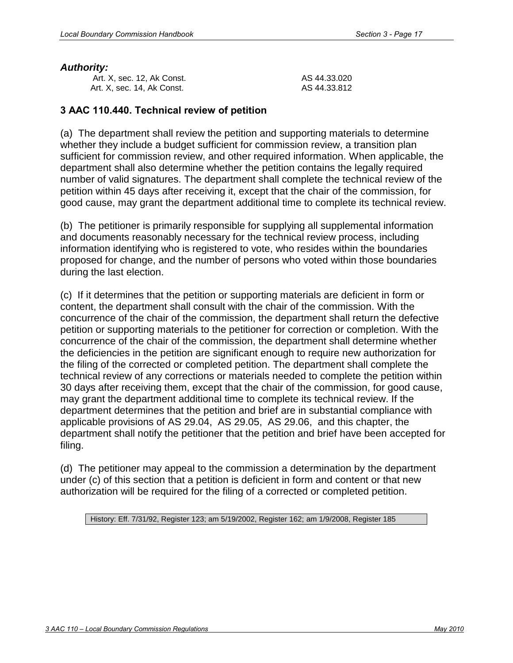# **3 AAC 110.430. Consolidation of petitions**

If two or more petitions pending action by the commission affect all or some portion of the same boundaries, the chair of the commission may consolidate the informational session, briefing schedule, department reports, commission hearing, decisional meeting, or other procedure under this chapter for one or more of those petitions. The commission may consider relevant information from concurrent or conflicting petitions during the process of rendering its decision on any one petition.

History: Eff. 7/31/92, Register 123; am 5/19/2002, Register 162; am 1/9/2008, Register 185

## *Authority:*

 Art. X, sec. 1, Ak Const. Art. X, sec. 3, Ak Const. Art. X, sec. 7, Ak Const. Art. X, sec. 12, Ak Const. AS 29.04.040 AS 29.05.060 AS 29.06.040 AS 29.06.090

AS 29.06.100 AS 29.06.450 AS 29.06.470 AS 44.33.812 AS 44.33.814 AS 44.33.818 AS 44.33.822 AS 44.33.826

# **3 AAC 110.435. Role of department staff**

(a) A department employee assigned under AS 44.33.020(a)(4) as a member of the commission staff serves as an advisor. The advisory staff may not act in an advocacy capacity as a petitioner under 3 AAC 110.410.

(b) During a proceeding, the advisory staff to the commission may provide technical assistance, information, and forms to petitioners, respondents, and interested persons who have procedural questions regarding local government or boundary issues. If the commissioner, a department subdivision, or a department employee not assigned under AS 44.33.020(a)(4) to the commission's advisory staff serves in an official capacity as a petitioner in a case before the commission,

(1) communications with the commission's advisory staff regarding the case are subject to the limitations of this subsection and 3 AAC 110.500; and

(2) communications with members of the commission are subject to the ex parte limitations of 3 AAC 110.500.

(c) Nothing in this section limits the role and ability of the commission's advisory staff to ensure that the commission is fully and accurately informed by providing to the commission new or additional information that supplements, questions, or refutes information provided by, or a position taken by, a petitioner, respondent, or other person.

History: Eff. 1/9/2008, Register 185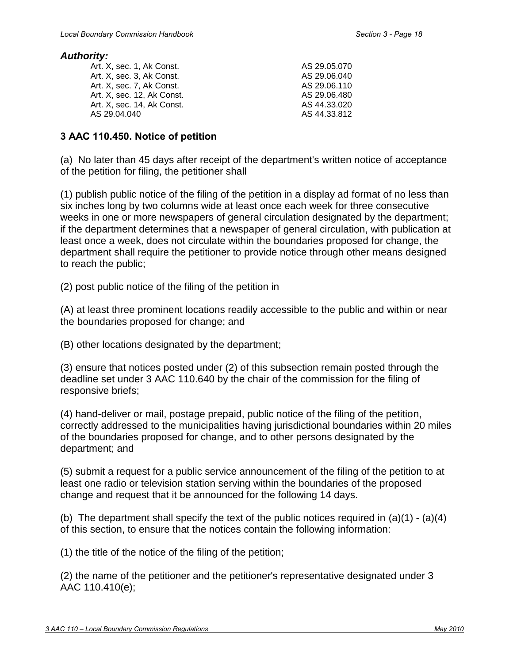#### *Authority:*

| Art. X, sec. 12, Ak Const. | AS 44.33.020 |
|----------------------------|--------------|
| Art. X, sec. 14, Ak Const. | AS 44.33.812 |

#### **3 AAC 110.440. Technical review of petition**

(a) The department shall review the petition and supporting materials to determine whether they include a budget sufficient for commission review, a transition plan sufficient for commission review, and other required information. When applicable, the department shall also determine whether the petition contains the legally required number of valid signatures. The department shall complete the technical review of the petition within 45 days after receiving it, except that the chair of the commission, for good cause, may grant the department additional time to complete its technical review.

(b) The petitioner is primarily responsible for supplying all supplemental information and documents reasonably necessary for the technical review process, including information identifying who is registered to vote, who resides within the boundaries proposed for change, and the number of persons who voted within those boundaries during the last election.

(c) If it determines that the petition or supporting materials are deficient in form or content, the department shall consult with the chair of the commission. With the concurrence of the chair of the commission, the department shall return the defective petition or supporting materials to the petitioner for correction or completion. With the concurrence of the chair of the commission, the department shall determine whether the deficiencies in the petition are significant enough to require new authorization for the filing of the corrected or completed petition. The department shall complete the technical review of any corrections or materials needed to complete the petition within 30 days after receiving them, except that the chair of the commission, for good cause, may grant the department additional time to complete its technical review. If the department determines that the petition and brief are in substantial compliance with applicable provisions of AS 29.04, AS 29.05, AS 29.06, and this chapter, the department shall notify the petitioner that the petition and brief have been accepted for filing.

(d) The petitioner may appeal to the commission a determination by the department under (c) of this section that a petition is deficient in form and content or that new authorization will be required for the filing of a corrected or completed petition.

History: Eff. 7/31/92, Register 123; am 5/19/2002, Register 162; am 1/9/2008, Register 185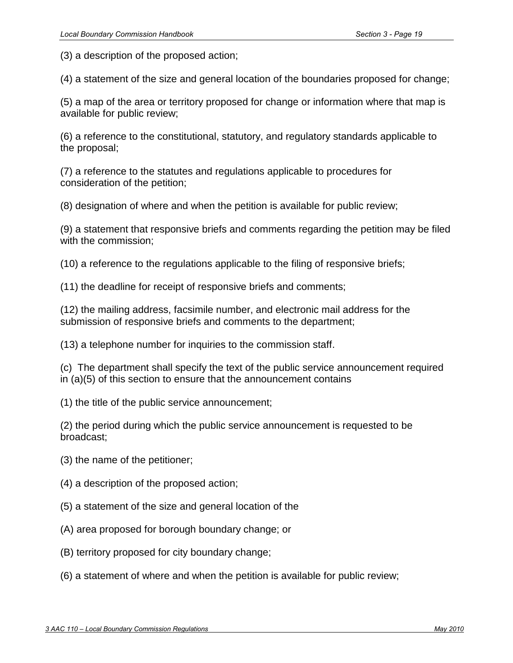#### *Authority:*

| Art. X. sec. 1. Ak Const.  |  |
|----------------------------|--|
| Art. X. sec. 3. Ak Const.  |  |
| Art. X. sec. 7. Ak Const.  |  |
| Art. X, sec. 12, Ak Const. |  |
| Art. X. sec. 14. Ak Const. |  |
| AS 29.04.040               |  |
|                            |  |

AS 29.05.070 AS 29.06.040 AS 29.06.110 AS 29.06.480 AS 44.33.020 AS 44.33.812

### **3 AAC 110.450. Notice of petition**

(a) No later than 45 days after receipt of the department's written notice of acceptance of the petition for filing, the petitioner shall

(1) publish public notice of the filing of the petition in a display ad format of no less than six inches long by two columns wide at least once each week for three consecutive weeks in one or more newspapers of general circulation designated by the department; if the department determines that a newspaper of general circulation, with publication at least once a week, does not circulate within the boundaries proposed for change, the department shall require the petitioner to provide notice through other means designed to reach the public;

(2) post public notice of the filing of the petition in

(A) at least three prominent locations readily accessible to the public and within or near the boundaries proposed for change; and

(B) other locations designated by the department;

(3) ensure that notices posted under (2) of this subsection remain posted through the deadline set under 3 AAC 110.640 by the chair of the commission for the filing of responsive briefs;

(4) hand-deliver or mail, postage prepaid, public notice of the filing of the petition, correctly addressed to the municipalities having jurisdictional boundaries within 20 miles of the boundaries proposed for change, and to other persons designated by the department; and

(5) submit a request for a public service announcement of the filing of the petition to at least one radio or television station serving within the boundaries of the proposed change and request that it be announced for the following 14 days.

(b) The department shall specify the text of the public notices required in  $(a)(1) - (a)(4)$ of this section, to ensure that the notices contain the following information:

(1) the title of the notice of the filing of the petition;

(2) the name of the petitioner and the petitioner's representative designated under 3 AAC 110.410(e);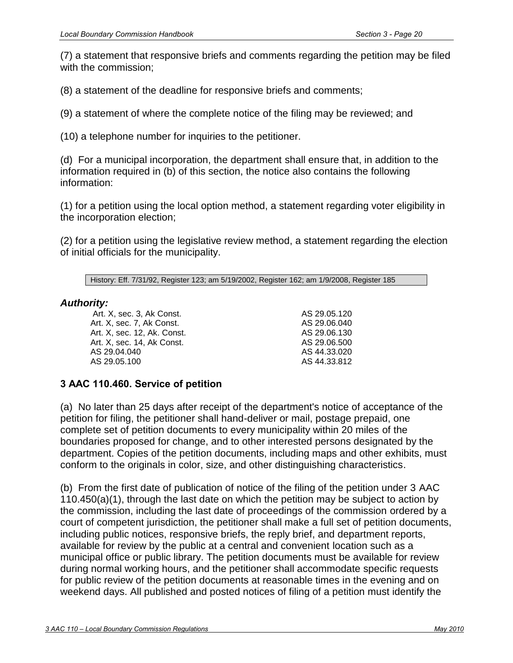(3) a description of the proposed action;

(4) a statement of the size and general location of the boundaries proposed for change;

(5) a map of the area or territory proposed for change or information where that map is available for public review;

(6) a reference to the constitutional, statutory, and regulatory standards applicable to the proposal;

(7) a reference to the statutes and regulations applicable to procedures for consideration of the petition;

(8) designation of where and when the petition is available for public review;

(9) a statement that responsive briefs and comments regarding the petition may be filed with the commission;

(10) a reference to the regulations applicable to the filing of responsive briefs;

(11) the deadline for receipt of responsive briefs and comments;

(12) the mailing address, facsimile number, and electronic mail address for the submission of responsive briefs and comments to the department;

(13) a telephone number for inquiries to the commission staff.

(c) The department shall specify the text of the public service announcement required in (a)(5) of this section to ensure that the announcement contains

(1) the title of the public service announcement;

(2) the period during which the public service announcement is requested to be broadcast;

- (3) the name of the petitioner;
- (4) a description of the proposed action;
- (5) a statement of the size and general location of the
- (A) area proposed for borough boundary change; or
- (B) territory proposed for city boundary change;
- (6) a statement of where and when the petition is available for public review;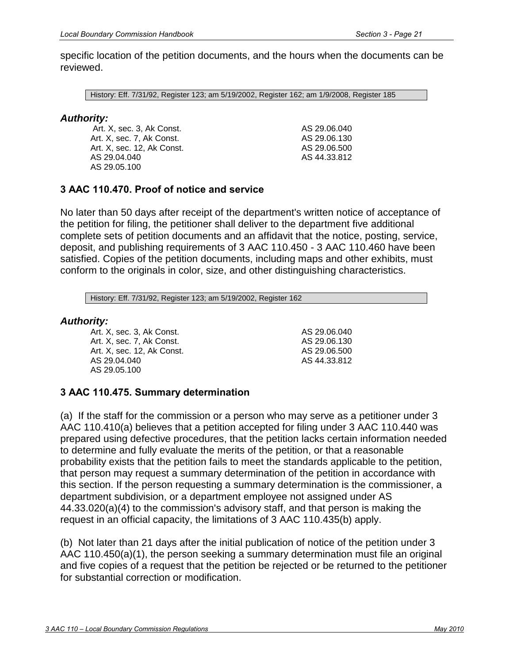(7) a statement that responsive briefs and comments regarding the petition may be filed with the commission;

(8) a statement of the deadline for responsive briefs and comments;

(9) a statement of where the complete notice of the filing may be reviewed; and

(10) a telephone number for inquiries to the petitioner.

(d) For a municipal incorporation, the department shall ensure that, in addition to the information required in (b) of this section, the notice also contains the following information:

(1) for a petition using the local option method, a statement regarding voter eligibility in the incorporation election;

(2) for a petition using the legislative review method, a statement regarding the election of initial officials for the municipality.

History: Eff. 7/31/92, Register 123; am 5/19/2002, Register 162; am 1/9/2008, Register 185

### *Authority:*

 Art. X, sec. 3, Ak Const. Art. X, sec. 7, Ak Const. Art. X, sec. 12, Ak. Const. Art. X, sec. 14, Ak Const. AS 29.04.040 AS 29.05.100

AS 29.05.120 AS 29.06.040 AS 29.06.130 AS 29.06.500 AS 44.33.020 AS 44.33.812

# **3 AAC 110.460. Service of petition**

(a) No later than 25 days after receipt of the department's notice of acceptance of the petition for filing, the petitioner shall hand-deliver or mail, postage prepaid, one complete set of petition documents to every municipality within 20 miles of the boundaries proposed for change, and to other interested persons designated by the department. Copies of the petition documents, including maps and other exhibits, must conform to the originals in color, size, and other distinguishing characteristics.

(b) From the first date of publication of notice of the filing of the petition under 3 AAC 110.450(a)(1), through the last date on which the petition may be subject to action by the commission, including the last date of proceedings of the commission ordered by a court of competent jurisdiction, the petitioner shall make a full set of petition documents, including public notices, responsive briefs, the reply brief, and department reports, available for review by the public at a central and convenient location such as a municipal office or public library. The petition documents must be available for review during normal working hours, and the petitioner shall accommodate specific requests for public review of the petition documents at reasonable times in the evening and on weekend days. All published and posted notices of filing of a petition must identify the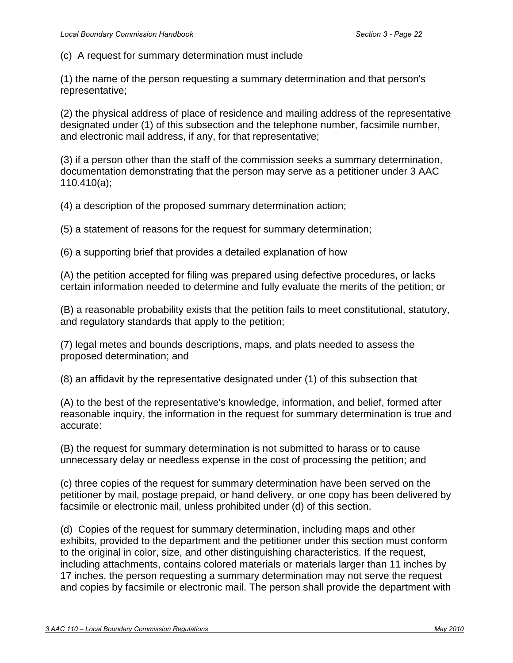specific location of the petition documents, and the hours when the documents can be reviewed.

History: Eff. 7/31/92, Register 123; am 5/19/2002, Register 162; am 1/9/2008, Register 185

### *Authority:*

 Art. X, sec. 3, Ak Const. Art. X, sec. 7, Ak Const. Art. X, sec. 12, Ak Const. AS 29.04.040 AS 29.05.100

AS 29.06.040 AS 29.06.130 AS 29.06.500 AS 44.33.812

## **3 AAC 110.470. Proof of notice and service**

No later than 50 days after receipt of the department's written notice of acceptance of the petition for filing, the petitioner shall deliver to the department five additional complete sets of petition documents and an affidavit that the notice, posting, service, deposit, and publishing requirements of 3 AAC 110.450 - 3 AAC 110.460 have been satisfied. Copies of the petition documents, including maps and other exhibits, must conform to the originals in color, size, and other distinguishing characteristics.

History: Eff. 7/31/92, Register 123; am 5/19/2002, Register 162

#### *Authority:*

Art. X, sec. 3, Ak Const. Art. X, sec. 7, Ak Const. Art. X, sec. 12, Ak Const. AS 29.04.040 AS 29.05.100

AS 29.06.040 AS 29.06.130 AS 29.06.500 AS 44.33.812

### **3 AAC 110.475. Summary determination**

(a) If the staff for the commission or a person who may serve as a petitioner under 3 AAC 110.410(a) believes that a petition accepted for filing under 3 AAC 110.440 was prepared using defective procedures, that the petition lacks certain information needed to determine and fully evaluate the merits of the petition, or that a reasonable probability exists that the petition fails to meet the standards applicable to the petition, that person may request a summary determination of the petition in accordance with this section. If the person requesting a summary determination is the commissioner, a department subdivision, or a department employee not assigned under AS 44.33.020(a)(4) to the commission's advisory staff, and that person is making the request in an official capacity, the limitations of 3 AAC 110.435(b) apply.

(b) Not later than 21 days after the initial publication of notice of the petition under 3 AAC 110.450(a)(1), the person seeking a summary determination must file an original and five copies of a request that the petition be rejected or be returned to the petitioner for substantial correction or modification.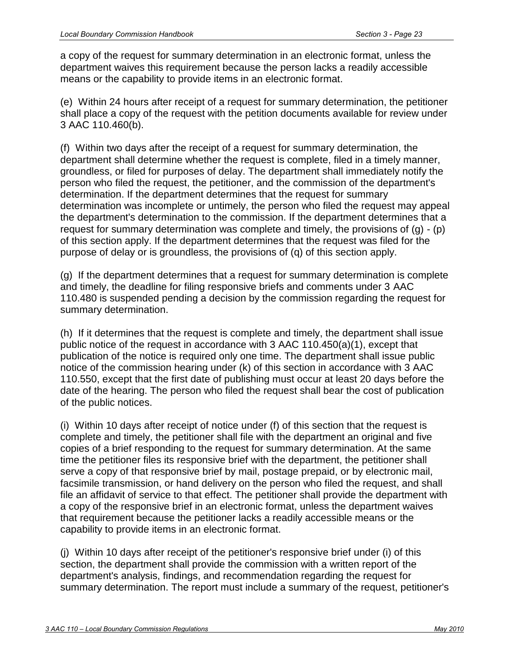(c) A request for summary determination must include

(1) the name of the person requesting a summary determination and that person's representative;

(2) the physical address of place of residence and mailing address of the representative designated under (1) of this subsection and the telephone number, facsimile number, and electronic mail address, if any, for that representative;

(3) if a person other than the staff of the commission seeks a summary determination, documentation demonstrating that the person may serve as a petitioner under 3 AAC 110.410(a);

(4) a description of the proposed summary determination action;

(5) a statement of reasons for the request for summary determination;

(6) a supporting brief that provides a detailed explanation of how

(A) the petition accepted for filing was prepared using defective procedures, or lacks certain information needed to determine and fully evaluate the merits of the petition; or

(B) a reasonable probability exists that the petition fails to meet constitutional, statutory, and regulatory standards that apply to the petition;

(7) legal metes and bounds descriptions, maps, and plats needed to assess the proposed determination; and

(8) an affidavit by the representative designated under (1) of this subsection that

(A) to the best of the representative's knowledge, information, and belief, formed after reasonable inquiry, the information in the request for summary determination is true and accurate:

(B) the request for summary determination is not submitted to harass or to cause unnecessary delay or needless expense in the cost of processing the petition; and

(c) three copies of the request for summary determination have been served on the petitioner by mail, postage prepaid, or hand delivery, or one copy has been delivered by facsimile or electronic mail, unless prohibited under (d) of this section.

(d) Copies of the request for summary determination, including maps and other exhibits, provided to the department and the petitioner under this section must conform to the original in color, size, and other distinguishing characteristics. If the request, including attachments, contains colored materials or materials larger than 11 inches by 17 inches, the person requesting a summary determination may not serve the request and copies by facsimile or electronic mail. The person shall provide the department with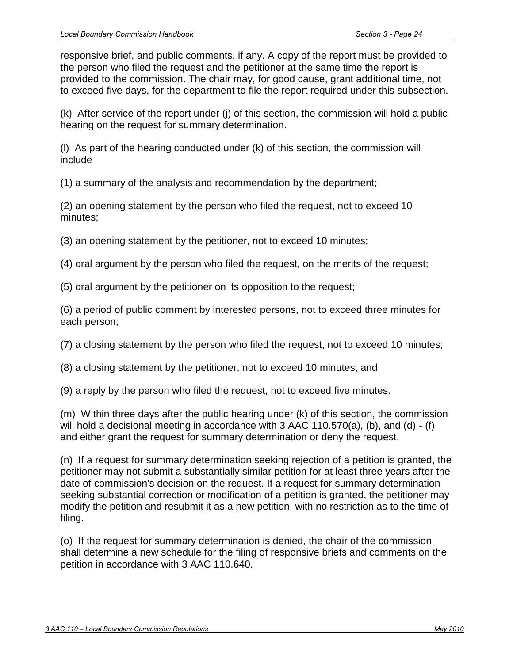a copy of the request for summary determination in an electronic format, unless the department waives this requirement because the person lacks a readily accessible means or the capability to provide items in an electronic format.

(e) Within 24 hours after receipt of a request for summary determination, the petitioner shall place a copy of the request with the petition documents available for review under 3 AAC 110.460(b).

(f) Within two days after the receipt of a request for summary determination, the department shall determine whether the request is complete, filed in a timely manner, groundless, or filed for purposes of delay. The department shall immediately notify the person who filed the request, the petitioner, and the commission of the department's determination. If the department determines that the request for summary determination was incomplete or untimely, the person who filed the request may appeal the department's determination to the commission. If the department determines that a request for summary determination was complete and timely, the provisions of (g) - (p) of this section apply. If the department determines that the request was filed for the purpose of delay or is groundless, the provisions of (q) of this section apply.

(g) If the department determines that a request for summary determination is complete and timely, the deadline for filing responsive briefs and comments under 3 AAC 110.480 is suspended pending a decision by the commission regarding the request for summary determination.

(h) If it determines that the request is complete and timely, the department shall issue public notice of the request in accordance with 3 AAC 110.450(a)(1), except that publication of the notice is required only one time. The department shall issue public notice of the commission hearing under (k) of this section in accordance with 3 AAC 110.550, except that the first date of publishing must occur at least 20 days before the date of the hearing. The person who filed the request shall bear the cost of publication of the public notices.

(i) Within 10 days after receipt of notice under (f) of this section that the request is complete and timely, the petitioner shall file with the department an original and five copies of a brief responding to the request for summary determination. At the same time the petitioner files its responsive brief with the department, the petitioner shall serve a copy of that responsive brief by mail, postage prepaid, or by electronic mail, facsimile transmission, or hand delivery on the person who filed the request, and shall file an affidavit of service to that effect. The petitioner shall provide the department with a copy of the responsive brief in an electronic format, unless the department waives that requirement because the petitioner lacks a readily accessible means or the capability to provide items in an electronic format.

(j) Within 10 days after receipt of the petitioner's responsive brief under (i) of this section, the department shall provide the commission with a written report of the department's analysis, findings, and recommendation regarding the request for summary determination. The report must include a summary of the request, petitioner's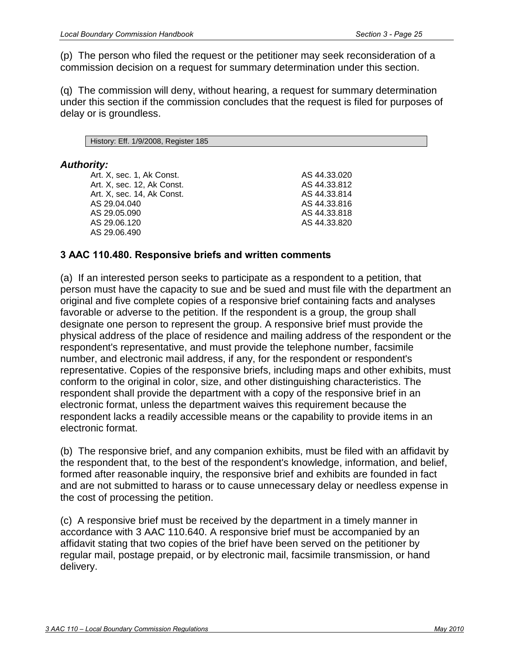responsive brief, and public comments, if any. A copy of the report must be provided to the person who filed the request and the petitioner at the same time the report is provided to the commission. The chair may, for good cause, grant additional time, not to exceed five days, for the department to file the report required under this subsection.

(k) After service of the report under (j) of this section, the commission will hold a public hearing on the request for summary determination.

(l) As part of the hearing conducted under (k) of this section, the commission will include

(1) a summary of the analysis and recommendation by the department;

(2) an opening statement by the person who filed the request, not to exceed 10 minutes;

(3) an opening statement by the petitioner, not to exceed 10 minutes;

(4) oral argument by the person who filed the request, on the merits of the request;

(5) oral argument by the petitioner on its opposition to the request;

(6) a period of public comment by interested persons, not to exceed three minutes for each person;

(7) a closing statement by the person who filed the request, not to exceed 10 minutes;

(8) a closing statement by the petitioner, not to exceed 10 minutes; and

(9) a reply by the person who filed the request, not to exceed five minutes.

(m) Within three days after the public hearing under (k) of this section, the commission will hold a decisional meeting in accordance with 3 AAC 110.570(a), (b), and (d) - (f) and either grant the request for summary determination or deny the request.

(n) If a request for summary determination seeking rejection of a petition is granted, the petitioner may not submit a substantially similar petition for at least three years after the date of commission's decision on the request. If a request for summary determination seeking substantial correction or modification of a petition is granted, the petitioner may modify the petition and resubmit it as a new petition, with no restriction as to the time of filing.

(o) If the request for summary determination is denied, the chair of the commission shall determine a new schedule for the filing of responsive briefs and comments on the petition in accordance with 3 AAC 110.640.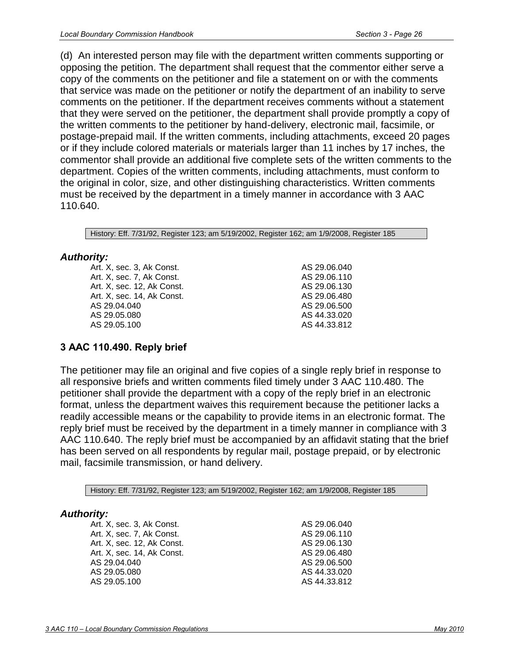(p) The person who filed the request or the petitioner may seek reconsideration of a commission decision on a request for summary determination under this section.

(q) The commission will deny, without hearing, a request for summary determination under this section if the commission concludes that the request is filed for purposes of delay or is groundless.

History: Eff. 1/9/2008, Register 185

### *Authority:*

Art. X, sec. 1, Ak Const. Art. X, sec. 12, Ak Const. Art. X, sec. 14, Ak Const. AS 29.04.040 AS 29.05.090 AS 29.06.120 AS 29.06.490

AS 44.33.020 AS 44.33.812 AS 44.33.814 AS 44.33.816 AS 44.33.818 AS 44.33.820

## **3 AAC 110.480. Responsive briefs and written comments**

(a) If an interested person seeks to participate as a respondent to a petition, that person must have the capacity to sue and be sued and must file with the department an original and five complete copies of a responsive brief containing facts and analyses favorable or adverse to the petition. If the respondent is a group, the group shall designate one person to represent the group. A responsive brief must provide the physical address of the place of residence and mailing address of the respondent or the respondent's representative, and must provide the telephone number, facsimile number, and electronic mail address, if any, for the respondent or respondent's representative. Copies of the responsive briefs, including maps and other exhibits, must conform to the original in color, size, and other distinguishing characteristics. The respondent shall provide the department with a copy of the responsive brief in an electronic format, unless the department waives this requirement because the respondent lacks a readily accessible means or the capability to provide items in an electronic format.

(b) The responsive brief, and any companion exhibits, must be filed with an affidavit by the respondent that, to the best of the respondent's knowledge, information, and belief, formed after reasonable inquiry, the responsive brief and exhibits are founded in fact and are not submitted to harass or to cause unnecessary delay or needless expense in the cost of processing the petition.

(c) A responsive brief must be received by the department in a timely manner in accordance with 3 AAC 110.640. A responsive brief must be accompanied by an affidavit stating that two copies of the brief have been served on the petitioner by regular mail, postage prepaid, or by electronic mail, facsimile transmission, or hand delivery.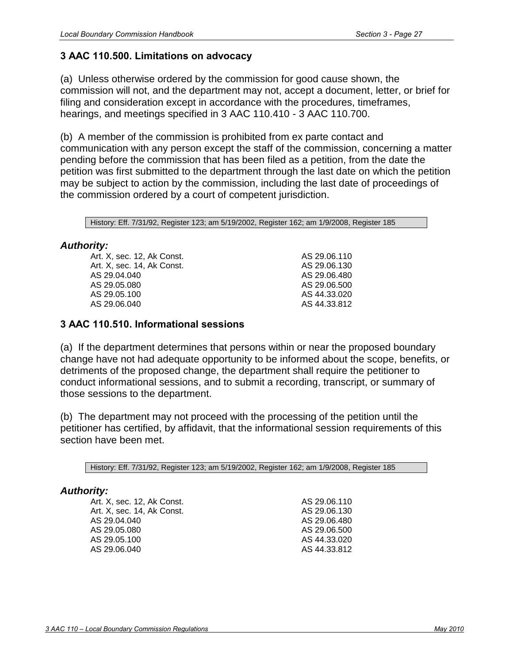(d) An interested person may file with the department written comments supporting or opposing the petition. The department shall request that the commentor either serve a copy of the comments on the petitioner and file a statement on or with the comments that service was made on the petitioner or notify the department of an inability to serve comments on the petitioner. If the department receives comments without a statement that they were served on the petitioner, the department shall provide promptly a copy of the written comments to the petitioner by hand-delivery, electronic mail, facsimile, or postage-prepaid mail. If the written comments, including attachments, exceed 20 pages or if they include colored materials or materials larger than 11 inches by 17 inches, the commentor shall provide an additional five complete sets of the written comments to the department. Copies of the written comments, including attachments, must conform to the original in color, size, and other distinguishing characteristics. Written comments must be received by the department in a timely manner in accordance with 3 AAC 110.640.

History: Eff. 7/31/92, Register 123; am 5/19/2002, Register 162; am 1/9/2008, Register 185

## *Authority:*

| Art. X, sec. 3, Ak Const.  | AS 29.06.040 |
|----------------------------|--------------|
| Art. X, sec. 7, Ak Const.  | AS 29.06.110 |
| Art. X, sec. 12, Ak Const. | AS 29.06.130 |
| Art. X, sec. 14, Ak Const. | AS 29.06.480 |
| AS 29.04.040               | AS 29.06.500 |
| AS 29.05.080               | AS 44.33.020 |
| AS 29.05.100               | AS 44.33.812 |
|                            |              |

# **3 AAC 110.490. Reply brief**

The petitioner may file an original and five copies of a single reply brief in response to all responsive briefs and written comments filed timely under 3 AAC 110.480. The petitioner shall provide the department with a copy of the reply brief in an electronic format, unless the department waives this requirement because the petitioner lacks a readily accessible means or the capability to provide items in an electronic format. The reply brief must be received by the department in a timely manner in compliance with 3 AAC 110.640. The reply brief must be accompanied by an affidavit stating that the brief has been served on all respondents by regular mail, postage prepaid, or by electronic mail, facsimile transmission, or hand delivery.

History: Eff. 7/31/92, Register 123; am 5/19/2002, Register 162; am 1/9/2008, Register 185

### *Authority:*

Art. X, sec. 3, Ak Const. Art. X, sec. 7, Ak Const. Art. X, sec. 12, Ak Const. Art. X, sec. 14, Ak Const. AS 29.04.040 AS 29.05.080 AS 29.05.100

AS 29.06.040 AS 29.06.110 AS 29.06.130 AS 29.06.480 AS 29.06.500 AS 44.33.020 AS 44.33.812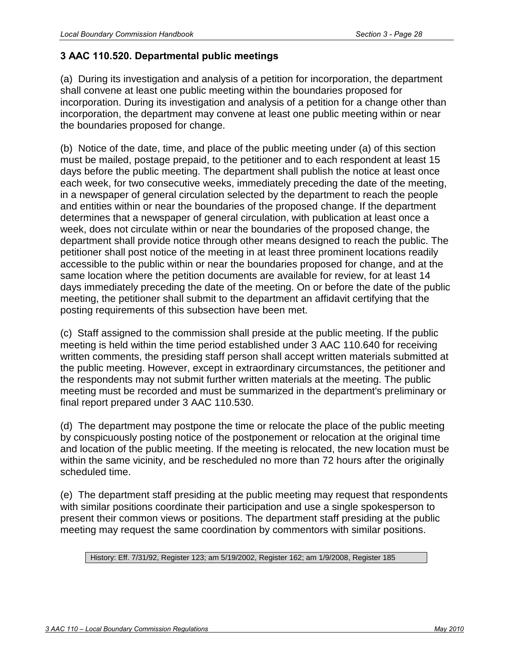## **3 AAC 110.500. Limitations on advocacy**

(a) Unless otherwise ordered by the commission for good cause shown, the commission will not, and the department may not, accept a document, letter, or brief for filing and consideration except in accordance with the procedures, timeframes, hearings, and meetings specified in 3 AAC 110.410 - 3 AAC 110.700.

(b) A member of the commission is prohibited from ex parte contact and communication with any person except the staff of the commission, concerning a matter pending before the commission that has been filed as a petition, from the date the petition was first submitted to the department through the last date on which the petition may be subject to action by the commission, including the last date of proceedings of the commission ordered by a court of competent jurisdiction.

History: Eff. 7/31/92, Register 123; am 5/19/2002, Register 162; am 1/9/2008, Register 185

### *Authority:*

| Art. X, sec. 12, Ak Const. | AS 29.06.110 |
|----------------------------|--------------|
| Art. X. sec. 14. Ak Const. | AS 29.06.130 |
| AS 29.04.040               | AS 29.06.480 |
| AS 29.05.080               | AS 29.06.500 |
| AS 29.05.100               | AS 44.33.020 |
| AS 29.06.040               | AS 44.33.812 |
|                            |              |

### **3 AAC 110.510. Informational sessions**

(a) If the department determines that persons within or near the proposed boundary change have not had adequate opportunity to be informed about the scope, benefits, or detriments of the proposed change, the department shall require the petitioner to conduct informational sessions, and to submit a recording, transcript, or summary of those sessions to the department.

(b) The department may not proceed with the processing of the petition until the petitioner has certified, by affidavit, that the informational session requirements of this section have been met.

History: Eff. 7/31/92, Register 123; am 5/19/2002, Register 162; am 1/9/2008, Register 185

#### *Authority:*

Art. X, sec. 12, Ak Const. Art. X, sec. 14, Ak Const. AS 29.04.040 AS 29.05.080 AS 29.05.100 AS 29.06.040

AS 29.06.110 AS 29.06.130 AS 29.06.480 AS 29.06.500 AS 44.33.020 AS 44.33.812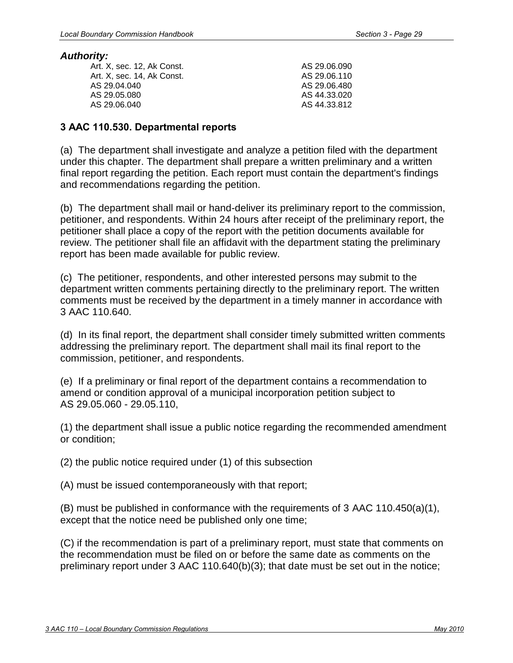# **3 AAC 110.520. Departmental public meetings**

(a) During its investigation and analysis of a petition for incorporation, the department shall convene at least one public meeting within the boundaries proposed for incorporation. During its investigation and analysis of a petition for a change other than incorporation, the department may convene at least one public meeting within or near the boundaries proposed for change.

(b) Notice of the date, time, and place of the public meeting under (a) of this section must be mailed, postage prepaid, to the petitioner and to each respondent at least 15 days before the public meeting. The department shall publish the notice at least once each week, for two consecutive weeks, immediately preceding the date of the meeting, in a newspaper of general circulation selected by the department to reach the people and entities within or near the boundaries of the proposed change. If the department determines that a newspaper of general circulation, with publication at least once a week, does not circulate within or near the boundaries of the proposed change, the department shall provide notice through other means designed to reach the public. The petitioner shall post notice of the meeting in at least three prominent locations readily accessible to the public within or near the boundaries proposed for change, and at the same location where the petition documents are available for review, for at least 14 days immediately preceding the date of the meeting. On or before the date of the public meeting, the petitioner shall submit to the department an affidavit certifying that the posting requirements of this subsection have been met.

(c) Staff assigned to the commission shall preside at the public meeting. If the public meeting is held within the time period established under 3 AAC 110.640 for receiving written comments, the presiding staff person shall accept written materials submitted at the public meeting. However, except in extraordinary circumstances, the petitioner and the respondents may not submit further written materials at the meeting. The public meeting must be recorded and must be summarized in the department's preliminary or final report prepared under 3 AAC 110.530.

(d) The department may postpone the time or relocate the place of the public meeting by conspicuously posting notice of the postponement or relocation at the original time and location of the public meeting. If the meeting is relocated, the new location must be within the same vicinity, and be rescheduled no more than 72 hours after the originally scheduled time.

(e) The department staff presiding at the public meeting may request that respondents with similar positions coordinate their participation and use a single spokesperson to present their common views or positions. The department staff presiding at the public meeting may request the same coordination by commentors with similar positions.

#### History: Eff. 7/31/92, Register 123; am 5/19/2002, Register 162; am 1/9/2008, Register 185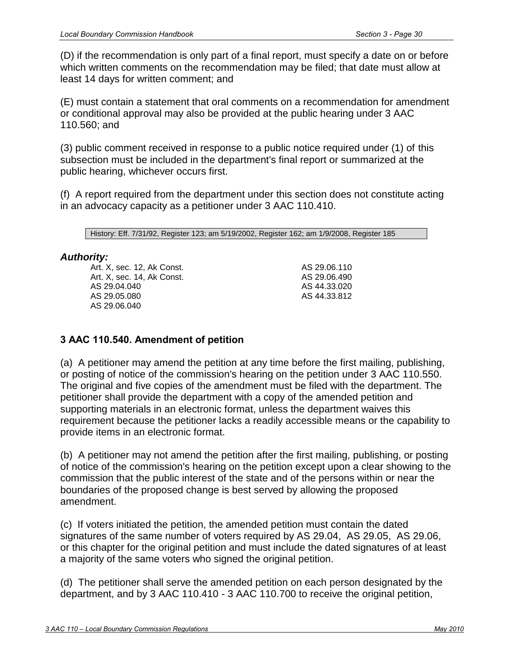#### *Authority:*

| .                          |              |
|----------------------------|--------------|
| Art. X. sec. 12. Ak Const. | AS 29.06.090 |
| Art. X. sec. 14. Ak Const. | AS 29.06.110 |
| AS 29.04.040               | AS 29.06.480 |
| AS 29.05.080               | AS 44.33.020 |
| AS 29.06.040               | AS 44.33.812 |
|                            |              |

### **3 AAC 110.530. Departmental reports**

(a) The department shall investigate and analyze a petition filed with the department under this chapter. The department shall prepare a written preliminary and a written final report regarding the petition. Each report must contain the department's findings and recommendations regarding the petition.

(b) The department shall mail or hand-deliver its preliminary report to the commission, petitioner, and respondents. Within 24 hours after receipt of the preliminary report, the petitioner shall place a copy of the report with the petition documents available for review. The petitioner shall file an affidavit with the department stating the preliminary report has been made available for public review.

(c) The petitioner, respondents, and other interested persons may submit to the department written comments pertaining directly to the preliminary report. The written comments must be received by the department in a timely manner in accordance with 3 AAC 110.640.

(d) In its final report, the department shall consider timely submitted written comments addressing the preliminary report. The department shall mail its final report to the commission, petitioner, and respondents.

(e) If a preliminary or final report of the department contains a recommendation to amend or condition approval of a municipal incorporation petition subject to AS 29.05.060 - 29.05.110,

(1) the department shall issue a public notice regarding the recommended amendment or condition;

(2) the public notice required under (1) of this subsection

(A) must be issued contemporaneously with that report;

(B) must be published in conformance with the requirements of 3 AAC 110.450(a)(1), except that the notice need be published only one time;

(C) if the recommendation is part of a preliminary report, must state that comments on the recommendation must be filed on or before the same date as comments on the preliminary report under 3 AAC 110.640(b)(3); that date must be set out in the notice;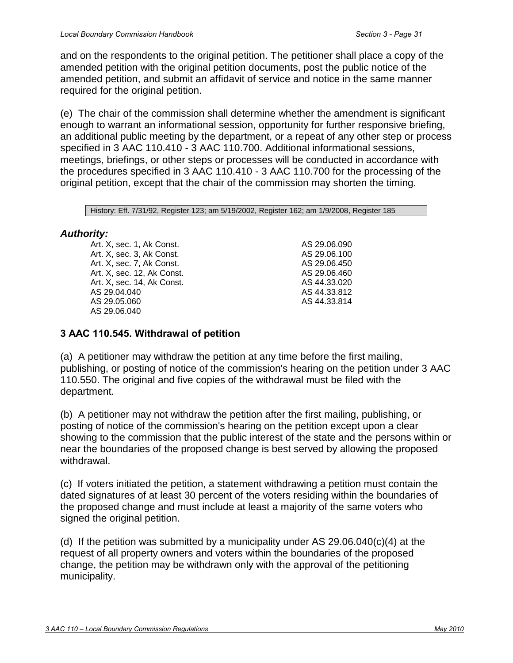(D) if the recommendation is only part of a final report, must specify a date on or before which written comments on the recommendation may be filed; that date must allow at least 14 days for written comment; and

(E) must contain a statement that oral comments on a recommendation for amendment or conditional approval may also be provided at the public hearing under 3 AAC 110.560; and

(3) public comment received in response to a public notice required under (1) of this subsection must be included in the department's final report or summarized at the public hearing, whichever occurs first.

(f) A report required from the department under this section does not constitute acting in an advocacy capacity as a petitioner under 3 AAC 110.410.

History: Eff. 7/31/92, Register 123; am 5/19/2002, Register 162; am 1/9/2008, Register 185

### *Authority:*

Art. X, sec. 12, Ak Const. Art. X, sec. 14, Ak Const. AS 29.04.040 AS 29.05.080 AS 29.06.040

AS 29.06.110 AS 29.06.490 AS 44.33.020 AS 44.33.812

### **3 AAC 110.540. Amendment of petition**

(a) A petitioner may amend the petition at any time before the first mailing, publishing, or posting of notice of the commission's hearing on the petition under 3 AAC 110.550. The original and five copies of the amendment must be filed with the department. The petitioner shall provide the department with a copy of the amended petition and supporting materials in an electronic format, unless the department waives this requirement because the petitioner lacks a readily accessible means or the capability to provide items in an electronic format.

(b) A petitioner may not amend the petition after the first mailing, publishing, or posting of notice of the commission's hearing on the petition except upon a clear showing to the commission that the public interest of the state and of the persons within or near the boundaries of the proposed change is best served by allowing the proposed amendment.

(c) If voters initiated the petition, the amended petition must contain the dated signatures of the same number of voters required by AS 29.04, AS 29.05, AS 29.06, or this chapter for the original petition and must include the dated signatures of at least a majority of the same voters who signed the original petition.

(d) The petitioner shall serve the amended petition on each person designated by the department, and by 3 AAC 110.410 - 3 AAC 110.700 to receive the original petition,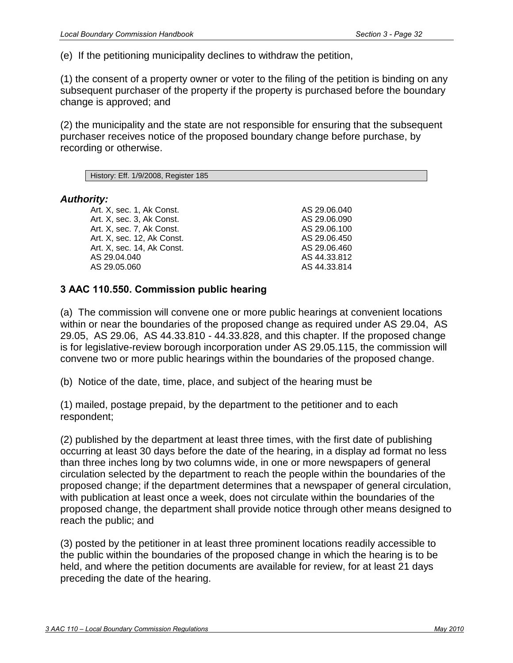and on the respondents to the original petition. The petitioner shall place a copy of the amended petition with the original petition documents, post the public notice of the amended petition, and submit an affidavit of service and notice in the same manner required for the original petition.

(e) The chair of the commission shall determine whether the amendment is significant enough to warrant an informational session, opportunity for further responsive briefing, an additional public meeting by the department, or a repeat of any other step or process specified in 3 AAC 110.410 - 3 AAC 110.700. Additional informational sessions, meetings, briefings, or other steps or processes will be conducted in accordance with the procedures specified in 3 AAC 110.410 - 3 AAC 110.700 for the processing of the original petition, except that the chair of the commission may shorten the timing.

History: Eff. 7/31/92, Register 123; am 5/19/2002, Register 162; am 1/9/2008, Register 185

## *Authority:*

Art. X, sec. 1, Ak Const. Art. X, sec. 3, Ak Const. Art. X, sec. 7, Ak Const. Art. X, sec. 12, Ak Const. Art. X, sec. 14, Ak Const. AS 29.04.040 AS 29.05.060 AS 29.06.040

AS 29.06.090 AS 29.06.100 AS 29.06.450 AS 29.06.460 AS 44.33.020 AS 44.33.812 AS 44.33.814

# **3 AAC 110.545. Withdrawal of petition**

(a) A petitioner may withdraw the petition at any time before the first mailing, publishing, or posting of notice of the commission's hearing on the petition under 3 AAC 110.550. The original and five copies of the withdrawal must be filed with the department.

(b) A petitioner may not withdraw the petition after the first mailing, publishing, or posting of notice of the commission's hearing on the petition except upon a clear showing to the commission that the public interest of the state and the persons within or near the boundaries of the proposed change is best served by allowing the proposed withdrawal.

(c) If voters initiated the petition, a statement withdrawing a petition must contain the dated signatures of at least 30 percent of the voters residing within the boundaries of the proposed change and must include at least a majority of the same voters who signed the original petition.

(d) If the petition was submitted by a municipality under AS 29.06.040(c)(4) at the request of all property owners and voters within the boundaries of the proposed change, the petition may be withdrawn only with the approval of the petitioning municipality.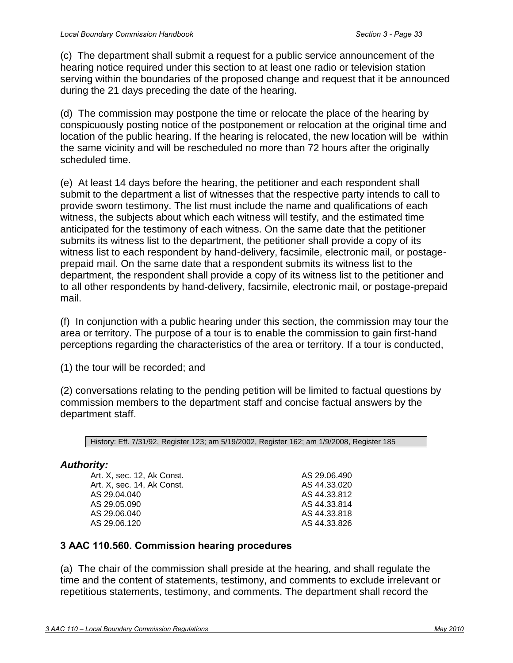(e) If the petitioning municipality declines to withdraw the petition,

(1) the consent of a property owner or voter to the filing of the petition is binding on any subsequent purchaser of the property if the property is purchased before the boundary change is approved; and

(2) the municipality and the state are not responsible for ensuring that the subsequent purchaser receives notice of the proposed boundary change before purchase, by recording or otherwise.

History: Eff. 1/9/2008, Register 185

#### *Authority:*

Art. X, sec. 1, Ak Const. Art. X, sec. 3, Ak Const. Art. X, sec. 7, Ak Const. Art. X, sec. 12, Ak Const. Art. X, sec. 14, Ak Const. AS 29.04.040 AS 29.05.060

AS 29.06.040 AS 29.06.090 AS 29.06.100 AS 29.06.450 AS 29.06.460 AS 44.33.812 AS 44.33.814

### **3 AAC 110.550. Commission public hearing**

(a) The commission will convene one or more public hearings at convenient locations within or near the boundaries of the proposed change as required under AS 29.04, AS 29.05, AS 29.06, AS 44.33.810 - 44.33.828, and this chapter. If the proposed change is for legislative-review borough incorporation under AS 29.05.115, the commission will convene two or more public hearings within the boundaries of the proposed change.

(b) Notice of the date, time, place, and subject of the hearing must be

(1) mailed, postage prepaid, by the department to the petitioner and to each respondent;

(2) published by the department at least three times, with the first date of publishing occurring at least 30 days before the date of the hearing, in a display ad format no less than three inches long by two columns wide, in one or more newspapers of general circulation selected by the department to reach the people within the boundaries of the proposed change; if the department determines that a newspaper of general circulation, with publication at least once a week, does not circulate within the boundaries of the proposed change, the department shall provide notice through other means designed to reach the public; and

(3) posted by the petitioner in at least three prominent locations readily accessible to the public within the boundaries of the proposed change in which the hearing is to be held, and where the petition documents are available for review, for at least 21 days preceding the date of the hearing.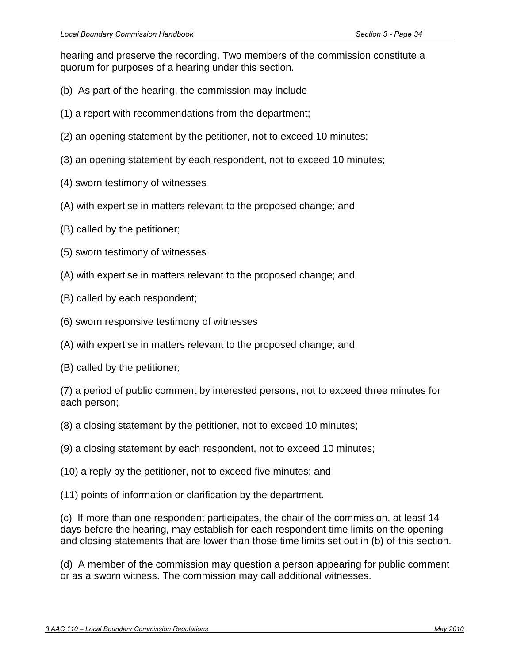(c) The department shall submit a request for a public service announcement of the hearing notice required under this section to at least one radio or television station serving within the boundaries of the proposed change and request that it be announced during the 21 days preceding the date of the hearing.

(d) The commission may postpone the time or relocate the place of the hearing by conspicuously posting notice of the postponement or relocation at the original time and location of the public hearing. If the hearing is relocated, the new location will be within the same vicinity and will be rescheduled no more than 72 hours after the originally scheduled time.

(e) At least 14 days before the hearing, the petitioner and each respondent shall submit to the department a list of witnesses that the respective party intends to call to provide sworn testimony. The list must include the name and qualifications of each witness, the subjects about which each witness will testify, and the estimated time anticipated for the testimony of each witness. On the same date that the petitioner submits its witness list to the department, the petitioner shall provide a copy of its witness list to each respondent by hand-delivery, facsimile, electronic mail, or postageprepaid mail. On the same date that a respondent submits its witness list to the department, the respondent shall provide a copy of its witness list to the petitioner and to all other respondents by hand-delivery, facsimile, electronic mail, or postage-prepaid mail.

(f) In conjunction with a public hearing under this section, the commission may tour the area or territory. The purpose of a tour is to enable the commission to gain first-hand perceptions regarding the characteristics of the area or territory. If a tour is conducted,

(1) the tour will be recorded; and

(2) conversations relating to the pending petition will be limited to factual questions by commission members to the department staff and concise factual answers by the department staff.

History: Eff. 7/31/92, Register 123; am 5/19/2002, Register 162; am 1/9/2008, Register 185

# *Authority:*

Art. X, sec. 12, Ak Const. Art. X, sec. 14, Ak Const. AS 29.04.040 AS 29.05.090 AS 29.06.040 AS 29.06.120 AS 29.06.490 AS 44.33.020 AS 44.33.812 AS 44.33.814 AS 44.33.818 AS 44.33.826

# **3 AAC 110.560. Commission hearing procedures**

(a) The chair of the commission shall preside at the hearing, and shall regulate the time and the content of statements, testimony, and comments to exclude irrelevant or repetitious statements, testimony, and comments. The department shall record the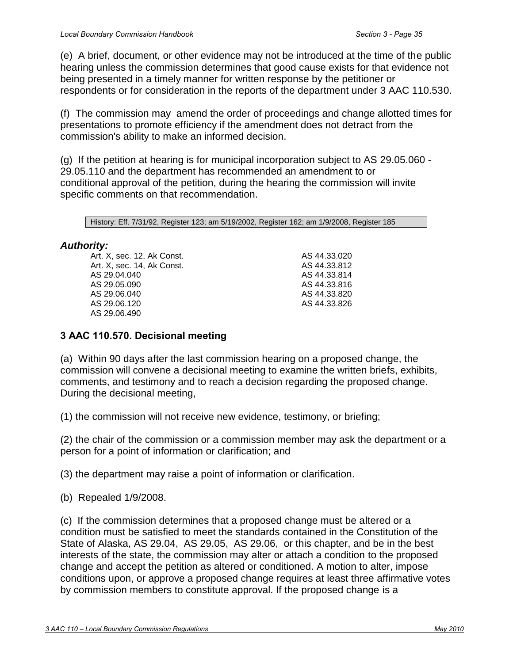hearing and preserve the recording. Two members of the commission constitute a quorum for purposes of a hearing under this section.

- (b) As part of the hearing, the commission may include
- (1) a report with recommendations from the department;
- (2) an opening statement by the petitioner, not to exceed 10 minutes;
- (3) an opening statement by each respondent, not to exceed 10 minutes;
- (4) sworn testimony of witnesses
- (A) with expertise in matters relevant to the proposed change; and
- (B) called by the petitioner;
- (5) sworn testimony of witnesses
- (A) with expertise in matters relevant to the proposed change; and
- (B) called by each respondent;
- (6) sworn responsive testimony of witnesses
- (A) with expertise in matters relevant to the proposed change; and
- (B) called by the petitioner;

(7) a period of public comment by interested persons, not to exceed three minutes for each person;

- (8) a closing statement by the petitioner, not to exceed 10 minutes;
- (9) a closing statement by each respondent, not to exceed 10 minutes;
- (10) a reply by the petitioner, not to exceed five minutes; and
- (11) points of information or clarification by the department.

(c) If more than one respondent participates, the chair of the commission, at least 14 days before the hearing, may establish for each respondent time limits on the opening and closing statements that are lower than those time limits set out in (b) of this section.

(d) A member of the commission may question a person appearing for public comment or as a sworn witness. The commission may call additional witnesses.